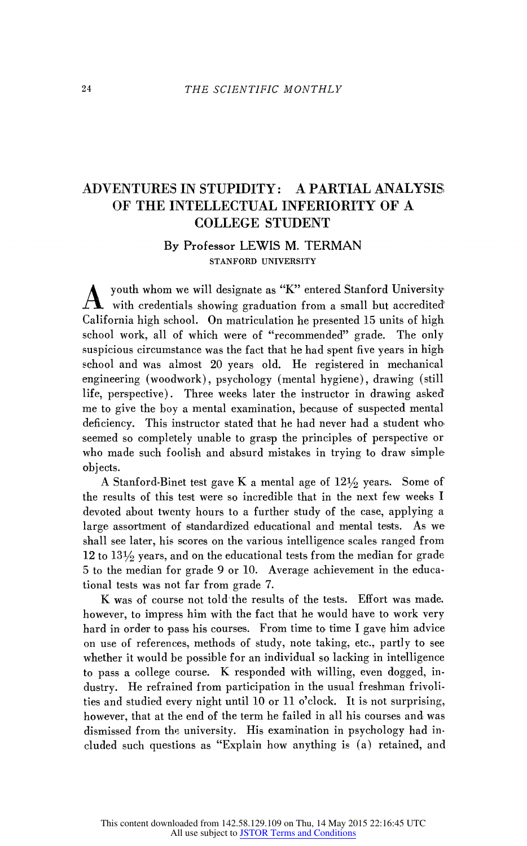# ADVENTURES IN STUPIDITY: A PARTIAL ANALYSIS, OF THE INTELLECTUAL INFERIORITY OF A COLLEGE STUDENT

# By Professor LEWIS M. TERMAN STANFORD UNIVERSITY

youth whom we will designate as "K" entered Stanford University with credentials showing graduation from a small but accredited' California high school. On matriculation he presented 15 units of high school work, all of which were of "recommended" grade. The only suspicious circumstance was the fact that he had spent five years in high school and was almost 20 years old. He registered in mechanical engineering (woodwork), psychology (mental hygiene), drawing (still life, perspective). Three weeks later the instructor in drawing asked me to give the boy a mental examination, because of suspected mental deficiency. This instructor stated that he had never had a student who seemed so completely unable to grasp the principles of perspective or who made such foolish and absurd mistakes in trying to draw simple obj ects.

A Stanford-Binet test gave K a mental age of  $12\frac{1}{2}$  years. Some of the results of this test were so incredible that in the next few weeks I devoted about twenty hours to a further study of the case, applying a large assortment of standardized educational and mental tests. As we shall see later, his scores on the various intelligence scales ranged from 12 to  $13\frac{1}{2}$  years, and on the educational tests from the median for grade 5 to the median for grade 9 or 10. Average achievement in the educational tests was not far from grade 7.

K was of course not told the results of the tests. Effort was made. however, to impress him with the fact that he would have to work very hard in order to pass his courses. From time to time I gave him advice on use of references, methods of study, note taking, etc., partly to see whether it would be possible for an individual so lacking in intelligence to pass a college course. K responded with willing, even dogged, industry. He refrained from participation in the usual freshman frivolities and studied every night until 10 or 11 o'clock. It is not surprising, however, that at the end of the term he failed in all his courses and was dismissed from the university. His examination in psychology had included such questions as "Explain how anything is (a) retained, and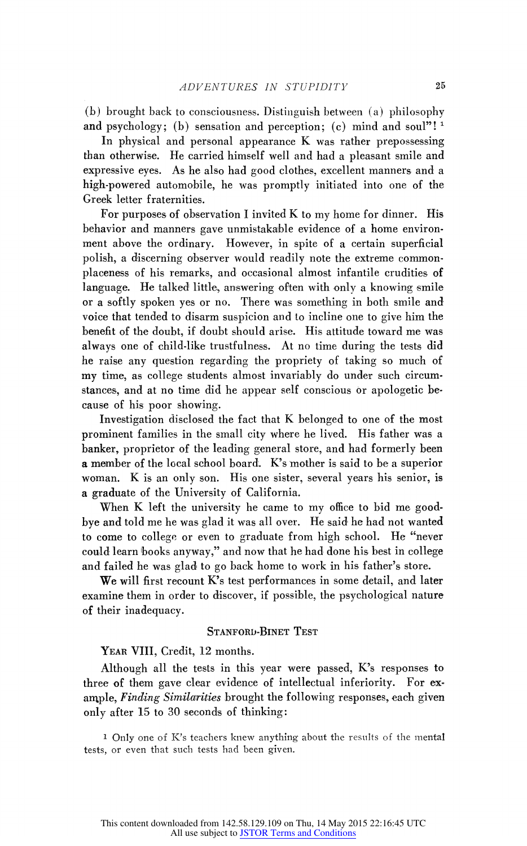(b) brought back to consciousness. Distiinguish between (a) philosophy and psychology; (b) sensation and perception; (c) mind and soul"!<sup>1</sup>

In physical and personal appearance K was rather prepossessing than otherwise. He carried himself well and had a pleasant smile and expressive eyes. As he also had good clothes, excellent manners and a high-powered automobile, he was promptly initiated into one of the Greek letter fraternities.

For purposes of observation I invited K to my home for dinner. His behavior and manners gave unmistakable evidence of a home environment above the ordinary. However, in spite of a certain superficial polish, a discerning olbserver would readily note the extreme commonplaceness of his remarks, and occasional almost infantile crudities of language. He talked little, answering often with only a knowing smile or a softly spoken yes or no. There was something in both smile and voice that tended to disarm suspicion and to incline one to give him the benefit of the doubt, if doubt should arise. His attitude toward me was always one of child-like trustfulness. At no time during the tests did he raise any question regarding the propriety of taking so much of my time, as college students almost invariably do under such circumstances, and at no time did he appear self conscious or apologetic because of his poor showing.

Investigation disclosed the fact that K belonged to one of the most prominent families in the small city where he lived. His father was a banker, proprietor of the leading general store, and had formerly been a member of the local school board. K's mother is said to be a superior woman. K is an only son. His one sister, several years his senior, is a graduate of the University of California.

When K left the university he came to my office to bid me goodbye and told me he was glad it was all over. He said he had not wanted to come to college, or even to graduate from high school. He "never could learn books anyway," and now that he had done his best in college and failed he was glad to go back home to work in his father's store.

We will first recount  $K$ 's test performances in some detail, and later examine them in order to discover, if possible, the psychological nature of their inadequacy.

### STANFORD-BINET TEST

# YEAR VIII, Credit, 12 months.

Although all the tests in this year were passed, K's responses to three of them gave clear evidence of intellectual inferiority. For example, Finding Similarities brought the following responses, each given only after 15 to 30 seconds of thinking:

1 Only one of K's teachers knew anything about the results of the mental tests, or even that such tests had been given.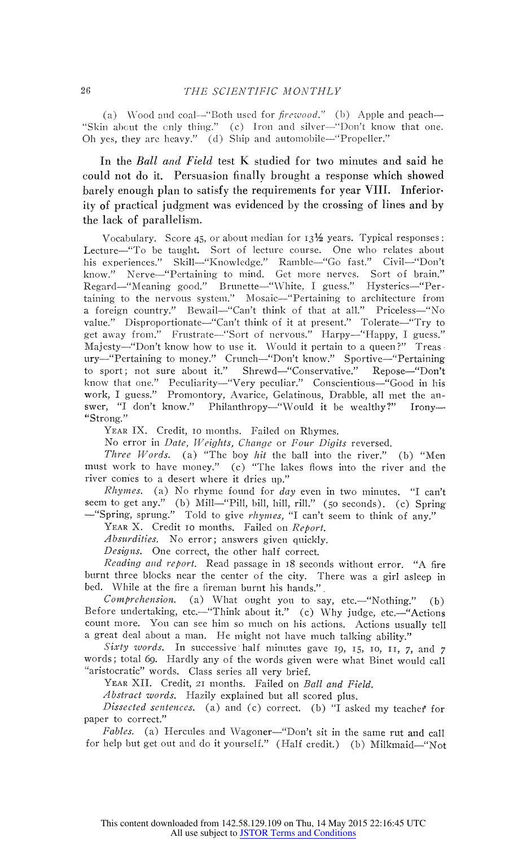(a) Wood and coal--"Both used for  $\hbar$ rewood." (b) Apple and peach--"Skin about the cnly thing." (c) Iron and silver-"Don't know that one. Oh yes, they are heavy." (d) Ship and automobile—"Propeller."

In the Ball and Field test K studied for two minutes and said he could not do it. Persuasion finally brought a response which showed barely enough plan to satisfy the requirements for year VIII. Inferiority of practical judgment was evidenced by the crossing of lines and by the lack of parallelism.

Vocabulary. Score 45, or about median for  $13\frac{1}{2}$  years. Typical responses: Lecture-"To be taught. Sort of lecture course. One who relates about his experiences." Skill—"Knowledge." Ramble—"Go fast." Civil—"Don't know." Nerve-"Pertaining to mind. Get more nerves. Sort of brain." Regard-"Meaning good." Brunette-"White, I guess." Hysterics-"Pertaining to the nervous system." Mosaic-"Pertaining to architecture from a foreign country." Bewail-"Can't think of that at all." Priceless-"No value." Disproportionate-"Can't think of it at present." Tolerate-"Try to get away from." Frustrate-"Sort of nervous." Harpy-"Happy, I guess." Majesty-"Don't know how to use it. Would it pertain to a queen?" Treas. ury-"Pertaining to money." Crunch-"Don't know." Sportive-"Pertaining to sport; not sure about it." Shrewd-"Conservative." Repose-"Don't know that one." Peculiarity—"Very peculiar." Conscientious—"Good in his work, I guess." Promontory, Avarice, Gelatinous, Drabble, all met the answer, "I don't know." Philanthropy-"Would it be wealthy?" Irony-"Strong."

YEAR IX. Credit, 10 months. Failed on Rhymes.

No error in Date, Weights, Change or Four Digits reversed.

Three Words. (a) "The boy hit the ball into the river." (b) "Men must work to have money." (c) "The lakes flows into the river and the river comes to a desert where it dries up."

Rhymes. (a) No rhyme found for day even in two minutes, "I can't seem to get any." (b) Mill-"Pill, bill, hill, rill." (50 seconds). (c) Spring -"Spring, sprung." Told to give rhymes, "I can't seem to think of any."

YEAR X. Credit 10 months. Failed on Report.

Absurdities. No error; answers given quickly.

Designs. One correct, the other half correct.

Reading and report. Read passage in 18 seconds without error. "A fire burnt three blocks near the center of the city. There was a girl asleep in bed. While at the fire a fireman burnt his hands.".

 $Comprehension.$  (a) What ought you to say, etc.—"Nothing." (b) Before undertaking, etc.--"Think about it." (c) Why judge, etc.--"Actions count more. You can see him so much on his actions. Actions usually tell a great deal about a man. He might not have much talking ability."

Sixty words. In successive half minutes gave 19, 15, 10, 11, 7, and 7 words; total 69. Hardly any of the words given were what Binet would call "aristocratic" words. Class series all very brief.

YEAR XII. Credit, 21 months. Failed on Ball and Field.

Abstract words. Hazily explained but all scored plus.

Dissected sentences. (a) and (c) correct. (b) "I asked my teacher for paper to correct."

Fables. (a) Hercules and Wagoner-"Don't sit in the same rut and call for help but get out and do it yourself." (Half credit.) (b) Milkmaid-"Not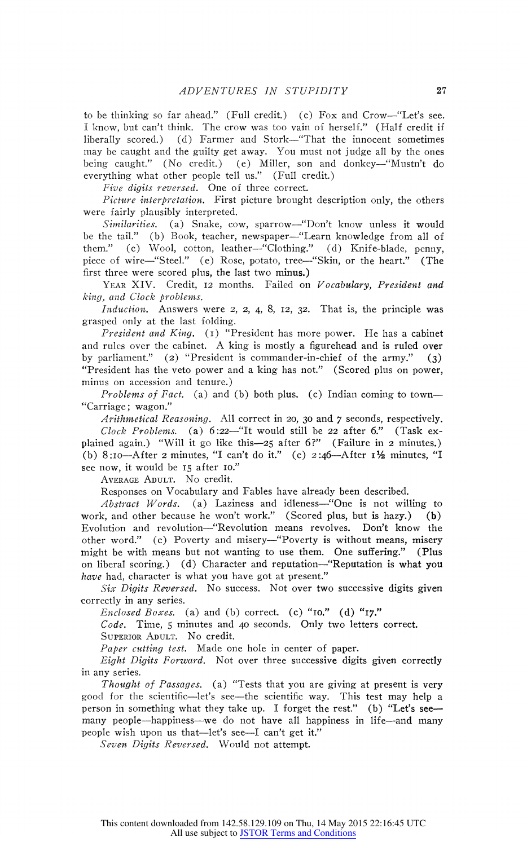to be thinking so far ahead." (Full credit.) (c) Fox and Crow-"Let's see. I know, but can't think. The crow was too vain of herself." (Half credit if liberally scored.) (d) Farmer and Stork-"That the innocent sometimes mnay be caught and the guilty get away. You must not judge all by the ones being caught." (No credit.) (e) Miller, son and donkey-"Mustn't do everything what other people tell us." (Full credit.)

Five digits reversed. One of three correct.

Picture interpretation. First picture brought description only, the others were fairly plausibly interpreted.

Similarities. (a) Snake, cow, sparrow-"Don't know unless it would be the tail." (b) Book, teacher, newspaper-"Learn knowledge from all of them." (c) Wool, cotton, leather-"Clothing." (d) Knife-blade, penny, piece of wire-"Steel." (e) Rose, potato, tree-"Skin, or the heart." (The first three were scored plus, the last two minus.)

YEAR XIV. Credit, 12 months. Failed on Vocabulary, President and king, and Clock problems.

Induction. Answers were 2, 2, 4, 8, 12, 32. That is, the principle was grasped only at the last folding.

President and King. (I) "President has more power. He has a cabinet and rules over the cabinet. A king is mostly a figurehead and is ruled over by parliament." (2) "President is commander-in-chief of the army." (3) "President has the veto power and a king has not." (Scored plus on power, minus on accession and tenure.)

*Problems of Fact.* (a) and (b) both plus. (c) Indian coming to town— "Carriage; wagon."

Arithmetical Reasoning. All correct in 20, 30 and 7 seconds, respectively. Clock Problems. (a)  $6:22$ -"It would still be 22 after 6." (Task explained again.) "Will it go like this-25 after 6?" (Failure in 2 minutes.) (b) 8:10-After 2 minutes, "I can't do it." (c) 2:46-After  $1\frac{1}{2}$  minutes, "I see now, it would be 15 after 10."

AVERAGE ADULT. No credit.

Responses on Vocabulary and Fables have already been described.

 $Abstract Words.$  (a) Laziness and idleness-"One is not willing to work, and other because he won't work." (Scored plus, but is hazy.) (b) Evolution and revolution-"Revolution means revolves. Don't know the other word." (c) Poverty and misery-"Poverty is without means, misery might be with means but not wanting to use them. One suffering." (Plus on liberal scoring.) (d) Character and reputation-"Reputation is what you have had, character is what you have got at present."

Six Digits Reversed. No success. Not over two successive digits given correctly in any series.

Enclosed Boxes. (a) and (b) correct. (c) " $io$ ." (d) " $17$ ."

Code. Time, 5 minutes and 40 seconds. Only two letters correct.

SUPERIOR ADULT. No credit.

Paper cutting test. Made one hole in center of paper.

Eight Digits Forward. Not over three successive digits given correctly in any series.

Thought of Passages. (a) "Tests that you are giving at present is very good for the scientific-let's see-the scientific way. This test may help a person in something what they take up. I forget the rest." (b) "Let's seemany people-happiness--we do not have all happiness in life-and many people wish upon us that—let's see—I can't get it."

Seven Digits Reversed. Would not attempt.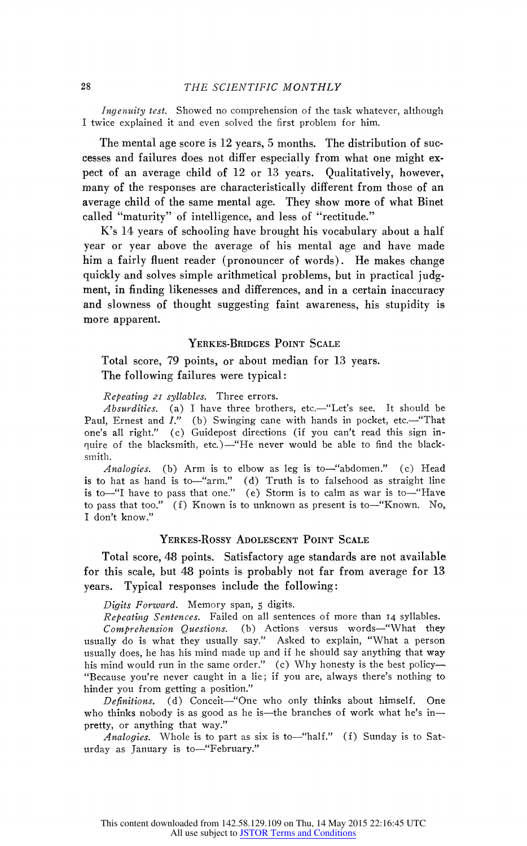Ingenuity test. Showed no comprehension of the task whatever, although I twice explained it and even solved the first problem for him.

The mental age score is 12 years, 5 months. The distribution of successes and failures does not differ especially from what one might expect of an average child of 12 or 13 years. Qualitatively, however, many of the responses are characteristically different from those of an average child of the same mental age. They show more of what Binet called "maturity" of intelligence, and less of "rectitude."

K's 14 years of schooling have brought his vocabulary about a half year or year above the average of his mental age and have made him a fairly fluent reader (pronouncer of words). He makes change quickly and solves simple arithmetical problems, but in practical judgment, in finding likenesses and differences, and in a certain inaccuracy and slowness of thought suggesting faint awareness, his stupidity is more apparent.

# YERKES-BRIDGES POINT SCALE

Total score, 79 points, or about median for 13 years. The following failures were typical:

Repeating 21 syllables. Three errors.

Absurdities. (a) I have three brothers, etc.—"Let's see. It should be Paul, Ernest and I." (b) Swinging cane with hands in pocket, etc.—"That one's all right." (c) Guidepost directions (if you can't read this sign inquire of the blacksmith, etc.)-"He never would be able to find the blacksmith.

Analogies. (b) Arm is to elbow as leg is to-"abdomen." (c) Head is to hat as hand is to—"arm."  $(d)$  Truth is to falsehood as straight line is to—"I have to pass that one." (e) Storm is to calm as war is to—"Have to pass that too." (f) Known is to unknown as present is to—"Known. No, I don't know."

## YERKES-ROSSY ADOLESCENT POINT SCALE

Total score, 48 points. Satisfactory age standards are not available for this scale, but 48 points is probably not far from average for 13 years. Typical responses include the following:

Digits Forward. Memory span, 5 digits.

Repeating Sentences. Failed on all sentences of more than I4 syllables.

Comprehension Questions. (b) Actions versus words-"What they usually do is what they usually say." Asked to explain, "What a person usually does, he has his mind made up and if he should say anything that way his mind would run in the same order." (c) Why honesty is the best policy-"Because you're never caught in a lie; if you are, always there's nothing to hinder you from getting a position."

Definitions. (d) Conceit-"One who only thinks about himself. One who thinks nobody is as good as he is—the branches of work what he's in pretty, or anything that way."

Analogies. Whole is to part as six is to-"half." (f) Sunday is to Saturday as January is to-"February."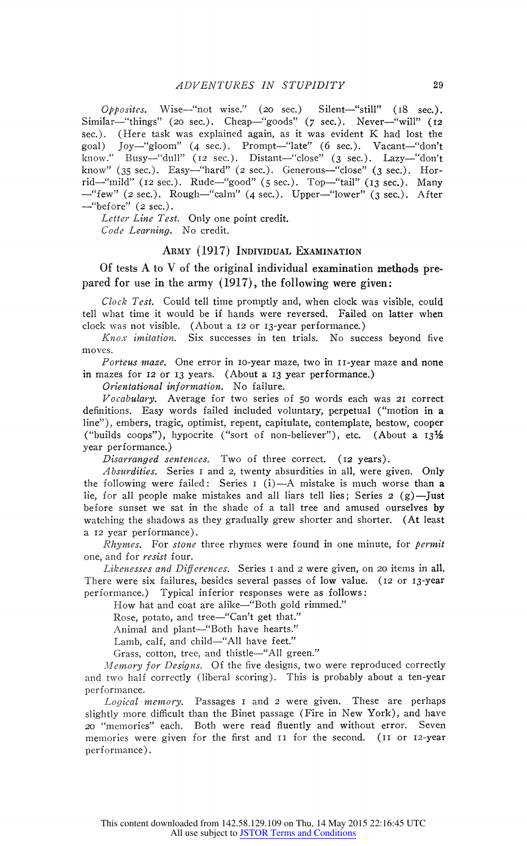Opposites. Wise-"not wise." (20 sec.) Silent-"still" (18 sec.). Similar-"things" (20 sec.). Cheap-"goods" (7 sec.). Never-"will" (12 sec.). (Here task was explained again, as it was evident K had lost the goal) JOy-"gloom" (4 sec.). Prompt-"late" (6 sec.). Vacant-"don't know." Busy—"dull" (12 sec.). Distant—"close" (3 sec.). Lazy—"don' know" (35 sec.). Easy—"hard" (2 sec.). Generous—"close" (3 sec.). Horrid-"mild" (12 sec.). Rude-"good" (5 sec.). Top-"tail" (13 sec.). Many -"few" (2 sec.). Rough-"calm" (4 sec.). Upper-"lower" (3 sec.). After  $-$ "before" (2 sec.).

Letter Line Test. Only one point credit. Code Learning. No credit.

#### ARMY (1917) INDIVIDUAL EXAMINATION

Of tests A to V of the original individual examination methods prepared for use in the army (1917), the following were given:

Clock Test. Could tell time promptly and, when clock was visible, could tell what time it would be if hands were reversed. Failed on latter when clock was not visible. (About a I2 or 13-year performance.)

 $K$ nox imitation. Six successes in ten trials. No success beyond five moves.

Porteus maze. One error in IO-year maze, two in II-year maze and none in mazes for 12 or 13 years. (About a 13 year performance.)

Orientational information. No failure.

Vocabulary. Average for two series of 50 words each was 21 correct definitions. Easy words failed included voluntary, perpetual ("motion in a line"), embers, tragic, optimist, repent, capitulate, contemplate, bestow, cooper ("builds coops"), hypocrite ("sort of non-believer"), etc. (About a  $13\frac{1}{2}$ year performance.)

Disarranged sentences. Two of three correct. (12 years).

Absurdities. Series I and 2, twenty absurdities in all, were given. Only the following were failed: Series  $I(i)$ -A mistake is much worse than a lie, for all people make mistakes and all liars tell lies; Series  $2 \text{ (g)}$ —Just before sunset we sat in the shade of a tall tree and amused ourselves by watching the shadows as they gradually grew shorter and shorter. (At least a 12 year performance).

Rhymes. For stone three rhymes were found in one minute, for permit one, and for resist four.

Likenesses and Differences. Series I and 2 were given, on 20 items in all. There were six failures, besides several passes of low value. (I2 or I3-year performance.) Typical inferior responses were as follows:

How hat and coat are alike-"Both gold rimmed."

Rose, potato, and tree-"Can't get that."

Animal and plant-"Both have hearts."

Lamb, calf, and child-"All have feet."

Grass, cotton, tree, and thistle-"All green."

Memory for Designs. Of the five designs, two were reproduced correctly and two half correctly (liberal scoring). This is probably about a ten-year performance.

Logical memory. Passages  $I$  and  $2$  were given. These are perhaps slightly more difficult than the Binet passage (Fire in New York), and have <sup>20</sup>"memories" each. Both were read fluently and without error. Seven memories were given for the first and II for the second. (iI or i2-year performance).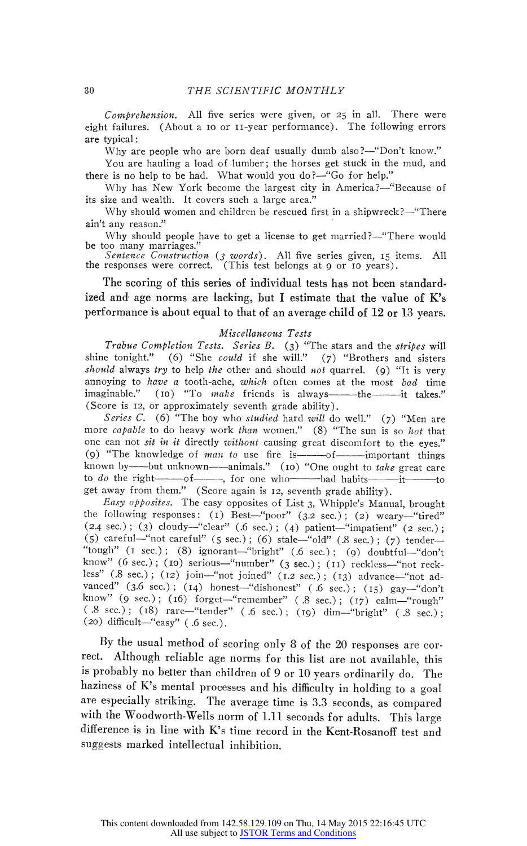Comprehension. All five series were given, or 25 in all. There were eight failures. (About a IO or II-year performance). The following errors are typical:

Why are people who are born deaf usually dumb also?-"Don't know."

You are hauling a load of lumber; the horses get stuck in the mud, and there is no help to be had. What would you do?-"Go for help."

Why has New York become the largest city in America?-"Because of its size and wealth. It covers such a large area."

Why should women and children be rescued first in a shipwreck?-"There ain't any reason."

Why should people have to get a license to get married?-"There would be too many marriages."

Sentence Construction (3 words). All five series given, 15 items. All the responses were correct. (This test belongs at 9 or 10 years).

The scoring of this series of individual tests has not been standardized and age norms are lacking, but I estimate that the value of K's performance is about equal to that of an average child of 12 or 13 years.

#### Miscellaneous Tests

Trabue Completion Tests. Series B. (3) "The stars and the stripes will shine tonight." (6) "She could if she will." (7) "Brothers and sisters should always try to help the other and should not quarrel. (9) "It is very annoying to have a tooth-ache, which often comes at the most bad time imaginable." (io) "To inake friends is always---the---it takes." (Score is I2, or approximately seventh grade ability).

Series C. (6) "The boy who studied hard will do well." (7) "Men are more capable to do heavy work than women." (8) "The sun is so hot that one can not sit in it directly without causing great discomfort to the eyes." (9) "The knowledge of man to use fire is- $-$ -of- $-$ important things known by——but unknown——animals." (10) "One ought to take great care to do the right- $\frac{1}{\text{of}}$ , for one who bad habits-intget away from them." (Score again is I2, seventh grade ability).

Easy opposites. The easy opposites of List 3, Whipple's Manual, brought the following responses: (1) Best-"poor" (3.2 sec.); (2) weary-"tired"  $(2.4 \text{ sec.})$ ; (3) cloudy-"clear" (.6 sec.); (4) patient-"impatient" (2 sec.); (5) careful-"not careful" (5 sec.); (6) stale-"old" (.8 sec.); (7) tender-"tough" (I sec.); (8) ignorant-"bright" (.6 sec.); (9) doubtful-"don't know" (6 sec.); (10) serious-"number" (3 sec.); (11) reckless-"not reckless" (.8 sec.); (12) join-"not joined" (1.2 sec.); (13) advance-"not advanced" (3.6 sec.); (14) honest-"dishonest" ( .6 sec.); (15) gay-"don't know" (9 sec.); (16) forget-"remember" ( $.8$  sec.); (17) calm-"rough" ( .8 sec.); (18) rare-"tender" ( .6 sec.); (19) dim-"bright" ( .8 sec.);  $(20)$  difficult—"easy" ( .6 sec.).

By the usual method of scoring only 8 of the 20 responses are correct. Although reliable age norms for this list are not available, this is probably no better than children of 9 or 10 years ordinarily do. The haziness of K's mental processes and his difficulty in holding to a goal are especially striking. The average time is 3.3 seconds, as compared with the Woodworth-Wells norm of 1.11 seconds for adults. This large difference is in line with K's time record in the Kent-Rosanoff test and suggests marked intellectual inhibition.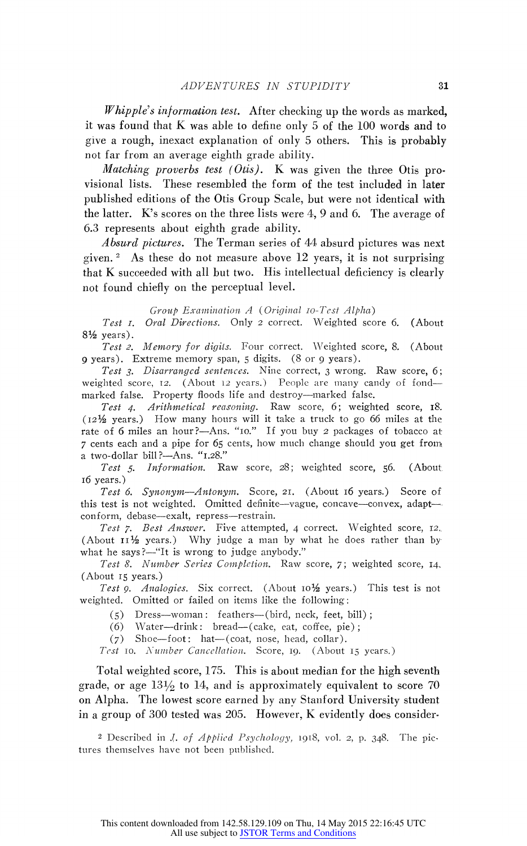$Whipple's information test.$  After checking up the words as marked, it was found that K was able to define only 5 of the 100 words and to give a rough, inexact explanation of only 5 others. This is probably not far from an average eighth grade ability.

*Matching proverbs test (Otis)*. K was given the three Otis provisional lists. These resembled the form of the test included in later published editions of the Otis Group Scale, but were not identical with the latter.  $K$ 's scores on the three lists were 4, 9 and 6. The average of 6.3 represents about eighth grade ability.

Absurd pictures. The Terman series of 44 absurd pictures was next given.<sup>2</sup> As these do not measure above 12 years, it is not surprising that K succeeded with all but two. His intellectual deficiency is clearly not found chiefly on the perceptual level.

Group Examination  $A$  (Original 10-Test Alpha)

Test I. Oral Directions. Only 2 correct. Weighted score 6. (About 81/2 years).

Test 2. Memory for digits. Four correct. Weighted score, 8. (About 9 years). Extreme memory span, 5 digits. (8 or 9 years).

Test 3. Disarranged sentences. Nine correct, 3 wrong. Raw score, 6; weighted score, 12. (About 12 years.) People are many candy of fondmarked false. Property floods life and destroy-marked false.

Test 4. Arithmetical reasoning. Raw score, 6; weighted score, i8. ( $12\frac{1}{2}$  years.) How many hours will it take a truck to go 66 miles at the rate of 6 miles an hour?-Ans. "10." If you buy 2 packages of tobacco at 7 cents each and a pipe for 65 cents, how much change should you get from a two-dollar bill ?- Ans. "1.28."

Test 5. Information. Raw score, 28; weighted score, 56. (About, i6 years.)

Test 6. Synonym-Antonym. Score, 2I. (About i6 years.) Score of this test is not weighted. Omitted definite—vague, concave—convex, adapt conform, debase-exalt, repress-restrain.

Test 7. Best Answer. Five attempted, 4 correct. Weighted score, 12. (About  $II\frac{1}{2}$  years.) Why judge a man by what he does rather than bywhat he says?—"It is wrong to judge anybody."

Test 8. Number Series Completion. Raw score, 7; weighted score, 14. (About I5 years.)

Test 9. Analogies. Six correct. (About 10<sup>1</sup>/<sub>2</sub> years.) This test is not weighted. Omitted or failed on items like the following:

(5) Dress-woman: feathers-(bird, neck, feet, bill);

(6) Water-drink: bread-(cake, eat, coffee, pie);

 $(7)$  Shoe-foot: hat-(coat, nose, head, collar).

Test 10. Number Cancellation. Score, 19. (About 15 years.)

Total weighted score, 175. This is about median for the high seventh grade, or age  $13\frac{1}{2}$  to 14, and is approximately equivalent to score 70 on Alpha. The lowest score earned by any Stanford University student in a group of 300 tested was 205. However, K evidently does consider.

<sup>2</sup> Described in *J. of Applied Psychology*, 1918, vol. 2, p. 348. The pictures themselves have not been published.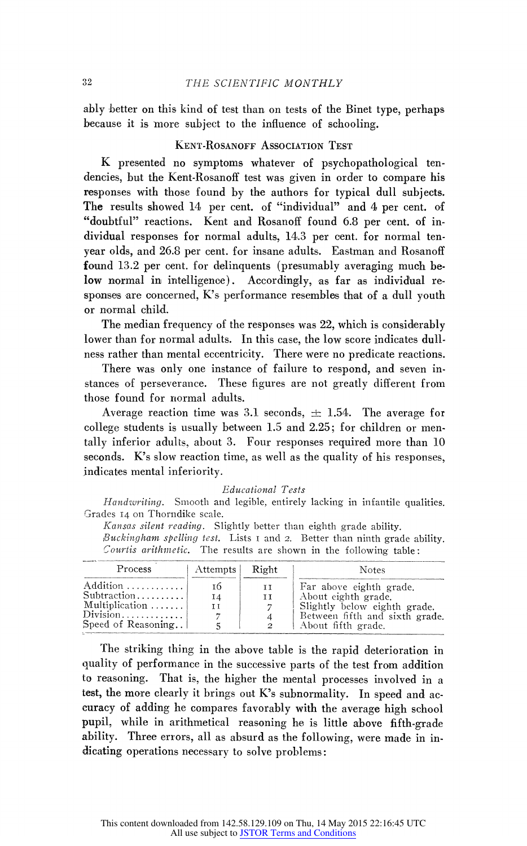ably better on this kind of test than on tests of the Binet type, perhaps because it is more subject to the influence of schooling.

# KENT-ROSANOFF ASSOCIATION TEST

K presented no symptoms whatever of psychopathological tendencies, but the Kent-Rosanoff test was given in order to compare his responses with those found by the authors for typical dull subjects. The results showed 14 per cent. of "individual" and 4 per cent. of "doubtful" reactions. Kent and Rosanoff found 6.8 per cent. of individual responses for normal adults, 14.3 per cent. for normal tenyear olds, and 26.8 per cent. for insane adults. Eastman and Rosanoff found 13.2 per cent. for delinquents (presumably averaging much below normal in intelligence). Accordingly, as far as individual responses are concerned, K's performance resembles that of a dull youth or normal child.

The median frequency of the responses was 22, which is considerably lower than for normal adults. In this case, the low score indicates dullness rather than mental eccentricity. There were no predicate reactions.

There was only one instance of failure to respond, and seven instances of perseverance. These figures are not greatly different from those found for normal adults.

Average reaction time was 3.1 seconds,  $\pm$  1.54. The average for college students is usually between 1.5 and 2.25; for children or mentally inferior adults, about 3. Four responses required more than 10 seconds. K's slow reaction time, as well as the quality of his responses, indicates mental inferiority.

#### Educational Tests

Handwriting. Smooth and legible, entirely lacking in infantile qualities. Grades I4 on Thorndike scale.

Kansas silent reading. Slightly better than eighth grade ability.

| <i>Buckingham spelling test.</i> Lists I and 2. Better than ninth grade ability. |  |  |  |
|----------------------------------------------------------------------------------|--|--|--|
| <i>Courtis arithmetic</i> . The results are shown in the following table:        |  |  |  |

| Process                                                                                                                                                       | Attempts        | Right                      | <b>Notes</b>                                                                                                                           |
|---------------------------------------------------------------------------------------------------------------------------------------------------------------|-----------------|----------------------------|----------------------------------------------------------------------------------------------------------------------------------------|
| Addition $\dots \dots \dots$<br>$Subtraction \ldots \ldots$<br>Multiplication $\dots$<br>$Division \ldots \ldots \ldots \ldots$<br>Speed of Reasoning. $\Box$ | TŌ.<br>14<br>II | ΤT<br>II<br>$\overline{c}$ | Far above eighth grade.<br>About eighth grade.<br>Slightly below eighth grade.<br>Between fifth and sixth grade.<br>About fifth grade. |

The striking thing in the above table is the rapid deterioration in quality of performance in the successive parts of the test from addition to reasoning. That is, the higher the mental processes involved in a test, the more clearly it brings out K's subnormality. In speed and accuracy of adding he compares favorably with the average high school pupil, while in arithmetical reasoning he is little above fifth-grade ability. Three errors, all as absurd as the following, were made in indicating operations necessary to solve problems: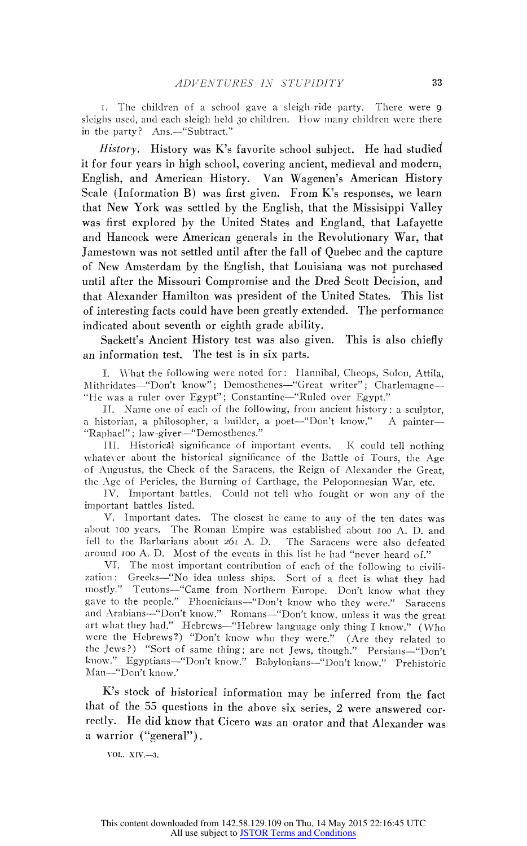I. The children of a school gave a sleigh-ride party. There were 9 sleighs used, and each sleigh held 30 children. How many children were there in the party? Ans.-"Subtract."

History. History was K's favorite school subject. He had studied it for four years in high school, covering ancient, medieval and modern, English, and American History. Van Wagenen's American History Scale (Information B) was first given. From K's responses, we learn that New York was settled by the English, that the Missisippi Valley was first explored by the United States and England, that Lafayette and Hancock were American generals in the Revolutionary War, that Jamestown was not settled until after the fall of Quebec and the capture of New Amsterdam by the English, that Louisiana was not purchased until after the Missouri Compromise and the Dred Scott Decision, and that Alexander Hamilton was president of the United States. This list of interesting facts could have been greatly extended. The performance indicated about seventh or eighth grade ability.

Sackett's Ancient History test was also given. This is also chiefly an information test. The test is in six parts.

I. What the following were noted for: Hannibal, Cheops, Solon, Attila, Mithridates-"Don't know"; Demosthenes-"Great writer"; Charlemagne-"He was a ruler over Egypt"; Constantine-"Ruled over Egypt."

II. Name one of each of the following, from ancient history: a sculptor, a historian, a philosopher, a builder, a poet-"Don't know." A painter-"Raphael"; law-giver-"Demosthenes."

IlI. Historical significance of important events. K couild tell nothing whatever about the historical significance of the Battle of Tours, the Age of Augustus, the Check of the Saracens, the Reign of Alexander the Great, the Age of Pericles, the Burning of Carthage, the Peloponnesian War, etc.

1V. Important battles. Could not tell who fought or won any of the important battles listed.

V. Important dates. The closest he came to any of the ten, dates was about 100 years. The Roman Empire was established about 100 A. D. and fell to the Barbarians about 261 A. D. The Saracens were also defeated around 100 A. D. Most of the events in this list he had "never heard of."

VI. The most important contribution of each of the following to civilization: Greeks-"No idea unless ships. Sort of a fleet is what they had mostly." Teutons-"Came from Northern Europe. Don't know what they gave to the people." Phoenicians-"Don't know who they were." Saracens and Arabians-"Don't know." Romans-"Don't know, unless it was the great art what they had." Hebrews-"Hebrew language only thing I know." (Who were the Hebrews?) "Don't know who they were." (Are they related to the Jews?) "Sort of same thing; are not Jews, though." Persians-"Don't know." Egyptians-"Don't know." Babylonians-"Don't know." Prehistoric Man-"Don't know.'

K's stock of historical information may be inferred from the fact that of the 55 questions in the above six series, 2 were answered correctly. He did know that Cicero was an orator and that Alexander was a warrior ("general").

VOL. XIV.-3.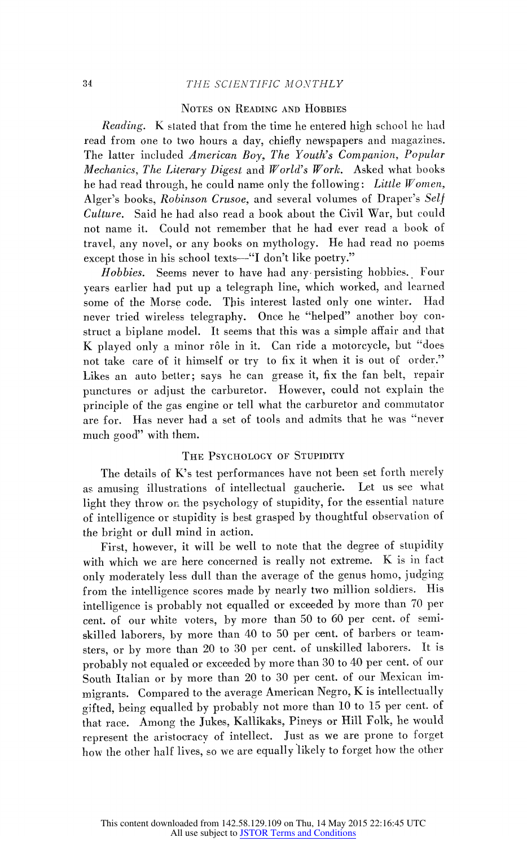## 34 THE SCIENTIFIC MONTHLY

### NOTES ON READING AND HOBBIES

Reading. K stated that from the time he entered high school he had read from one to two hours a day, chiefly newspapers and magazines. The latter included American Boy, The Youth's Companion, Popular Mechanics, The Literary Digest and World's Work. Asked what books he had read through, he could name only the following: Little  $W$ omen, Alger's books, Robinson Crusoe, and several volumes of Draper's Self Culture. Said he had also read a book about the Civil War, but could not name it. Could not remember that he had ever read a book of travel, any novel, or any books on mythology. He had read no poems except those in his school texts—"I don't like poetry."

Hobbies. Seems never to have had any persisting hobbies. Four years earlier had put up a telegraph line, which worked, and learned some of the Morse code. This interest lasted only one winter. Had never tried wireless telegraphy. Once he "helped" another boy construct a biplane model. It seems that this was a simple affair and that K played only a minor rôle in it. Can ride a motorcycle, but "does not take care of it himself or try to fix it when it is out of order." Likes an auto better; says he can grease it, fix the fan belt, repair punctures or adjust the carburetor. However, could not explain the principle of the gas engine or tell what the carburetor and commutator are for. Has never had a set of tools and admits that he was "never much good" with them.

## THE PSYCHOLOGY OF STUPIDITY

The details of K's test performances have not been set forth merely as amusing, illustrations of intellectual gaucherie. Let us see what light they throw on the psychology of stupidity, for the essential nature of intelligence or stupidity is best grasped by thoughtful observation of the bright or dull mind in action.

First, however, it will be well to note that the degree of stupidity with which we are here concerned is really not extreme. K is in fact only moderately less dull than the average of the genus homo, judging, from the intelligence scores made by nearly two million soldiers. His intelligence is probably not equalled or exceeded by more than 70 per cent. of our white voters, by more than 50 to 60 per cent. of semiskilled laborers, by more than 40 to 50 per cent. of barbers or teamsters, or by more than 20 to 30 per cent. of unskilled laborers. It is probably not equaled or exceeded by more than 30 to 40 per cent. of our South Italian or by more than 20 to 30 per cent. of our Mexican immigrants. Compared to the average American Negro, K is intellectually gifted, being, equalled by probably not more than 10 to 15 per cent. of that race. Among the Jukes, Kallikaks, Pineys or Hill Folk, he would represent the aristocracy of intellect. Just as we are prone to forget how the other half lives, so we are equally likely to forget how the other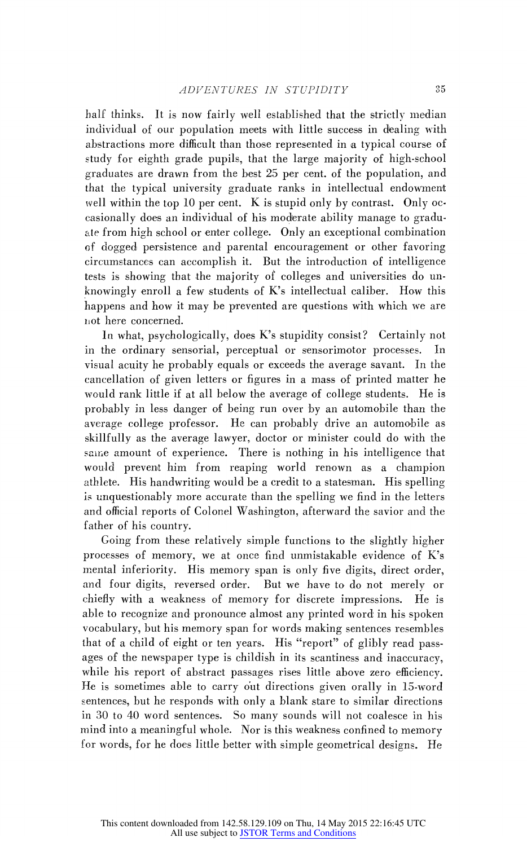half thinks. It is now fairly well established that the strictly median individual of our population meets with little success in dealing with abstractions more difficult than those represented in a typical course of study for eighth grade pupils, that the large majority of high-school graduates are drawn from the best 25 per cent. of the population, and that the typical university graduate ranks in intellectual endowment well within the top 10 per cent. K is stupid only by contrast. Only occasionally does an individual of his moderate ability manage to graduate from high school or enter college. Only an exceptional combination of dogged persistence and parental encouragement or other favoring circumstances can accomplish it. But the introduction of intelligence tests is showing that the majority of colleges and universities do unknowingly enroll a few students of K's intellectual caliber. How this happens and how it may be prevented are questions with which we are iot here concerned.

ln what, psychologically, does K's stupidity consist? Certainly not in the ordinary sensorial, perceptual or sensorimotor processes. In visual acuity he probably equals or exceeds the average savant. In the cancellation of given letters or figures in a mass of printed matter he would rank little if at all below the average of college students. He is probably in less danger of being run over by an automobile than the average college professor. He can probably drive an automobile as skillfully as the average lawyer, doctor or minister could do with the same amount of experience. There is nothing in his intelligence that would prevenit him from reaping world renown as a champion athlete. His handwriting would be a credit to a statesman. His spelling is unquestionably more accurate than the spelling we find in the letters and official reports of Colonel Washington, afterward the savior and the father of his country.

Going from these relatively simple functions to the slightly higher processes of memory, we at once find unmistakable evidence of K's mental inferiority. His memory span is only five digits, direct order, and four digits, reversed order. But we have to do not merely or chiefly with a weakness of memory for discrete impressions. He is able to recognize and pronounce almost any printed word in his spoken vocabulary, but his memory span for words making sentences resembles that of a child of eight or ten years. His "report" of glibly read passages of the newspaper type is childish in its scantiness and inaccuracy, while his report of abstract passages rises little above zero efficiency. He is sometimes able to carry out directions given orally in 15-word sentences, but he responds with only a blank stare to similar directions in 30 to 40 word sentences. So many sounds will not coalesce in his mind into a meaningful whole. Nor is this weakness confined to memory for wvords, for he does little better with simple geometrical designs. He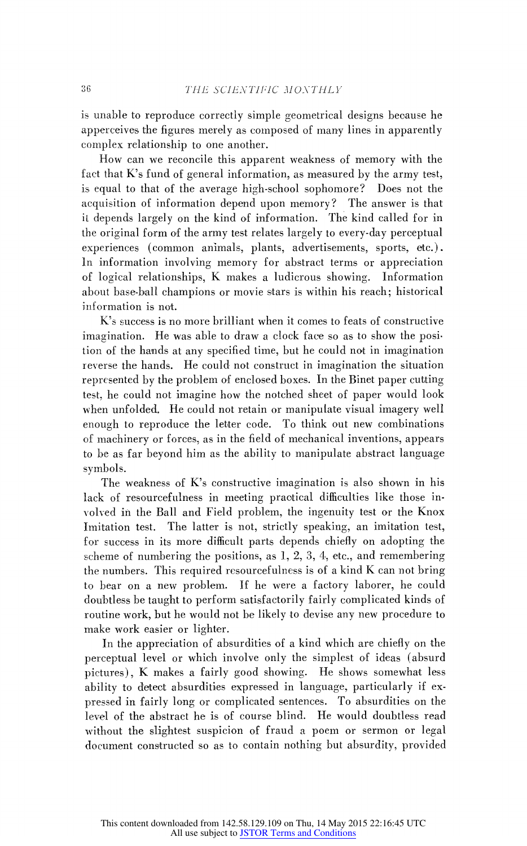is unable to reproduce correctly simple geometrical designs because he apperceives the figures merely as composed of many lines in apparently complex relationship to one another.

How can we reconcile this apparent weakness of memory with the faet that K's fund of general information, as measured by the army test, is equal to that of the average high-school sophomore? Does not the acquisition of information depend upon memory? The answer is that it depends largely on the kind of information. The kind called for in the original form of the army test relates largely to every-day perceptual experiences (common animals, plants, advertisements, sports, etc.). ln information involving memory for abstract terms or appreciation of logical relationships, K makes a ludicrous showing. Information about base-hall champions or movie stars is within his reach; historical information is not.

K's success is no more brilliant when it comes to feats of constructive imagination. He was able to draw a clock face so as to show the position of the hands at any specified time, but he could not in imagination reverse the hands. He could not construct in imagination the situation represented by the problem of enclosed boxes. In the Binet paper cutting test, he could not imagine how the notched sheet of paper would look when unfolded. He could not retain or manipulate visual imagery well enough to reproduce the letter code. To think out new combinations of machinery or forces, as in the field of mechanical inventions, appears to he as far beyond him as the ability to manipulate abstract language symbols.

The weakness of K's constructive imagination is also shown in his lack of resourcefulness in meeting practical difficulties like those involved in the Ball and Field problem, the ingenuity test or the Knox Imitation test. The latter is not, strictly speaking, an imitation test, for success in its more difficult parts depends chiefly on adopting the scheme of numbering the positions, as 1, 2, 3, 4, etc., and remembering the numbers. This required resourcefulness is of a kind K can not bring to bear on a new problem. If he were a factory laborer, he could doubtless be taught to perform satisfactorily fairly complicated kinds of routine work, but he wouild not be likely to devise any new procedure to make work easier or lighter.

In the appreciation of absurdities of a kind which are chiefly on the perceptual level or which involve only the simplest of ideas (absurd pictures), K makes a fairly good showing. He shows somewhat less ability to detect absurdities expressed in language, particularly if expressed in fairly long or complicated sentences. To absurdities on the level of the abstract he is of course blind. He would doubtless read without the slightest suspicion of fraud a poem or sermon or legal document constructed so as to contain nothing but absurdity, provided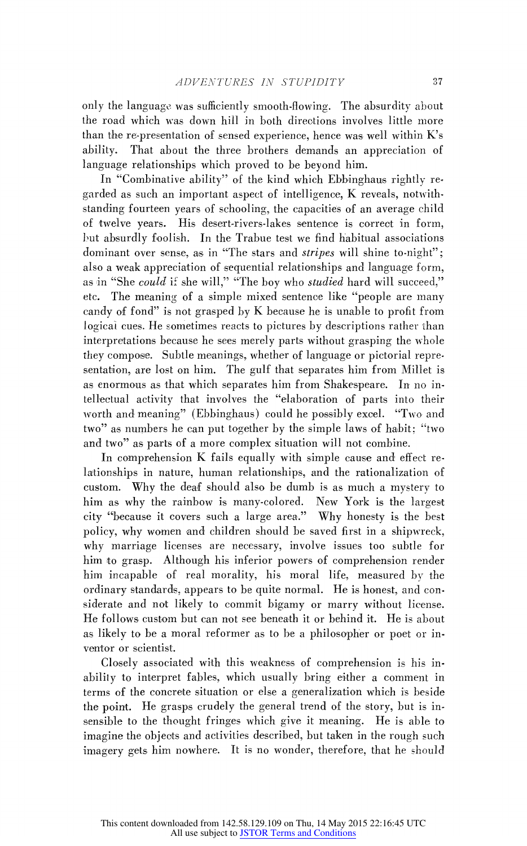only the language was sufficiently smooth-flowing. The absurdity about the road which was down hill in both directions involves little more than the re-presentation of sensed experience, hence was well within K's ability. That about the three brothers demands an appreciation of language relationships which proved to be beyond him.

In "Combinative ability" of the kind which Ebbinghaus rightly re, garded as such an important aspect of intelligence, K reveals, notwithstanding fourteen years of schooling, the capacities of an average child of twelve years. His desert-rivers-lakes entence is correct in form, but abisurdly foolish. In the Trabue test we find habitual associations dominant over sense, as in "The stars and *stripes* will shine to-night"; also a weak appreciation of sequential relationships and language form, as in "She could if she will," "The boy who studied hard will succeed," etc. The meaning of a simple mixed sentence like "people are many candy of fond" is not grasped by K because he is unable to profit from logicai cues. He sometimes reacts to pictures by descriptions rather than interpretations because he sees merely parts without grasping the whole they compose. Subtle meanings, whether of language or pictorial representation, are lost on him. The gulf that separates him from Millet is as enormous as that which separates him from Shakespeare. In no intellectual activity that involves the "elaboration of parts into their worth and meaning" (Ebbinghaus) could he possibly excel. "Two and two" as numbers he can put together by the simple laws of habit; "two and two" as parts of a more complex situation will not combine.

In comprehension K fails equally with simple cause and effect relationships in nature, human relationships, and the rationalization of custom. Why the deaf should also be dumb is as much a mystery to him as why the rainbow is many-colored. New York is the largest city "because it covers such a large area." Why honesty is the best policy, why women and children should be saved first in a shipwreck, why marriage licenses are necessary, involve issues too subtle for him to grasp. Although his inferior powers of comprehension render him incapable of real morality, his moral life, measured by the ordinary standards, appears to be quite normal. He is honest, and considerate and not likely to commit bigamy or marry without license. He follows custom but can not see beneath it or behind it. He is about as likely to be a moral reformer as to he a philosopher or poet or inventor or scientist.

Closely associated with this weakness of comprehension is his inability to interpret fables, which usually bring either a eomment in terms of the concrete situation or else a generalization which is beside the point. He grasps crudely the general trend of the story, but is insensible to the thought fringes which give it meaning. He is able to imagine the objects and activities described, but taken in the rough such imagery gets him nowhere. It is no wonder, therefore, that he should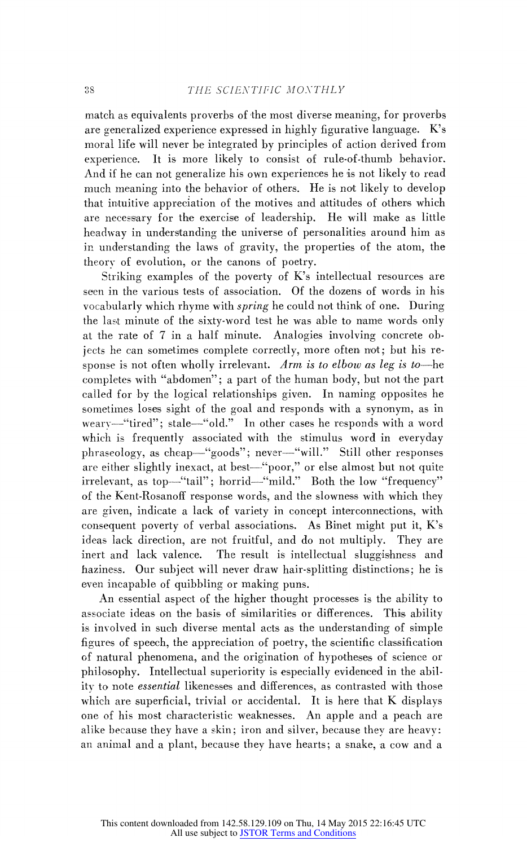match as equivalents proverbs of the most diverse meaning, for proverbs are generalized experience expressed in highly figurative language. K's moral life will never be integrated by principles of action derived from experience. It is more likely to consist of rule-of-thumb behavior. And if he can not generalize his own experiences he is not likely to read much meaning into the behavior of others. He is not likely to develop that intuitive appreciation of the motives and attitudes of others which are necessary for the exercise of leadership. He will make as little headway in understanding the universe of personalities around him as in understanding the laws of gravity, the properties of the atom, the theory of evolution, or the canons of poetry.

Striking examples of the poverty of K's intellectual resources are seen in the various tests of association. Of the dozens of words in his vocabularly which rhyme with spring he could not think of one. During the last minute of the sixty-word test he was able to name words only at the rate of 7 in a half minute. Analogies involving concrete objects he can sometimes complete correctly, more often not; but his response is not often wholly irrelevant. Arm is to elbow as leg is to-he completes with "abdomen"; a part of the human body, but not the part called for by the logical relationships given. In naming opposites he sometimes loses sight of the goal and responds with a synonym, as in weary-"tired"; stale-"old." In other cases he responds with a word which is frequently associated with the stimulus word in everyday phraseology, as cheap-"goods"; never-"will." Still other responses are either slightly inexact, at best-"poor," or else almost but not quite irrelevant, as top-"tail"; horrid-"mild." Both the low "frequency" of the Kent-Rosanoff response words, and the slowness with which they are given, indicate a lack of variety in concept interconnections, with consequent poverty of verbal associations. As Binet might put it,  $K$ 's ideas lack direction, are not fruitful, and do not multiply. They are inert and lack valence. The result is intellectual sluggishness and haziness. Our subject will never draw hair-splitting distinctions; he is even incapable of quibbling, or making puns.

An essential aspect of the higher thought processes is the ability to associate ideas on the basis of similarities or differences. This ability is involved in such diverse mental acts as the understanding of simple figures of speech, the appreciation of poetry, the scientific classification of natural phenomena, and the origination of hypotheses of science or philosophy. Intellectual superiority is especially evidenced in the ability to note essential likenesses and differences, as contrasted with those which are superficial, trivial or accidental. It is here that  $K$  displays one of his most characteristic weaknesses. An apple and a peach are alike because they have a skin; iron and silver, because they are heavy: an animal and a plant, because they have hearts; a snake, a cow and a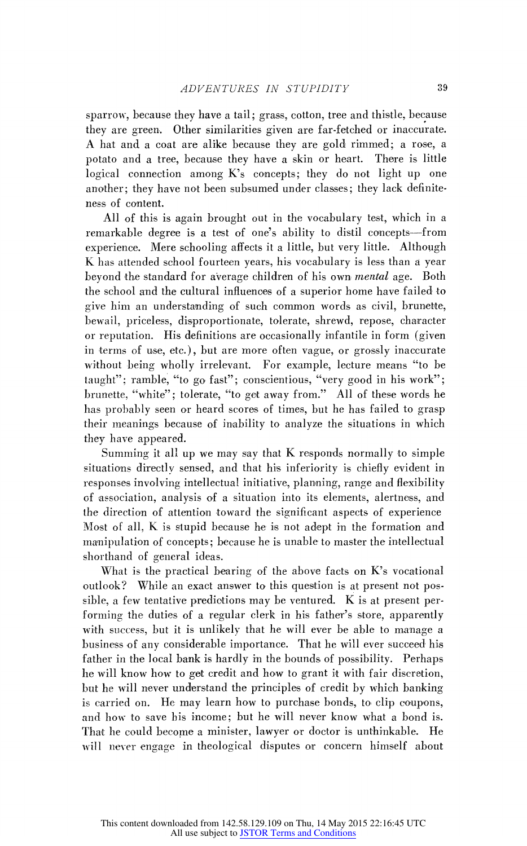sparrow, because they have a tail; grass, cotton, tree and thistle, because they are green. Other similarities given are far-fetched or inaccurate. A hat and a coat are alike because they are gold rimmed; a rose, a potato and a tree, because they have a skin or heart. There is little logical connection among  $K$ 's concepts; they do not light up one another; they have not been subsumed under classes; they lack definiteness, of content.

All of this is again brought out in the vocabulary test, which in a remarkable degree is a test of one's ability to distil concepts-from experience. Mere schooling affects it a little, but very little. Although K has attended school fourteen years, his vocabulary is less than a year beyond the standard for average children of his own *mental* age. Both the school and the cultural influences of a superior home have failed to give him an understanding of such common words as civil, brunette, bewail, priceless, disproportionate, tolerate, shrewd, repose, character or reputation. His definitions are occasionally infantile in form (given in terms of use, etc.), but are more often vague, or grossly inaccurate without being wholly irrelevant. For example, lecture means "to be taught"; ramble, "to go fast"; conscientious, "very good in his work"; brunette, "white"; tolerate, "to get away from." All of these words he has probably seen or heard scores of times, but he has failed to grasp their meanings because of inability to analyze the situations in which they have appeared.

Summing it all up we may say that  $K$  responds normally to simple situations directly sensed, and that his inferiority is chiefly evident in responses involving intellectual initiative, planning, range and flexibility of association, analysis of a situation into its elements, alertness, and the direction of attention toward the significant aspects of experience Most of all,  $K$  is stupid because he is not adept in the formation and manipulation of concepts; because he is unable to master the intellectual shorthand of general ideas.

What is the practical bearing of the above facts on K's vocational outlook? While an exact answer to this question is at present not possible, a few tentative predictions may be ventured. K is at present performing the duties of a regular clerk in his father's store, apparently with success, but it is unlikely that he will ever be able to manage a business of any considerable importance. That he will ever succeed his father in the local bank is hardly in the bounds of possibility. Perhaps he will know how to get credit and how to grant it with fair discretion, but he will never understand the principles of credit by which banking is carried on. He may learn how to purchase bonds, to clip coupons, and how to save his income; but he will never know what a bond is. That he could become a minister, lawyer or doctor is unthinkable. He will never engage in theological disputes or concern himself about